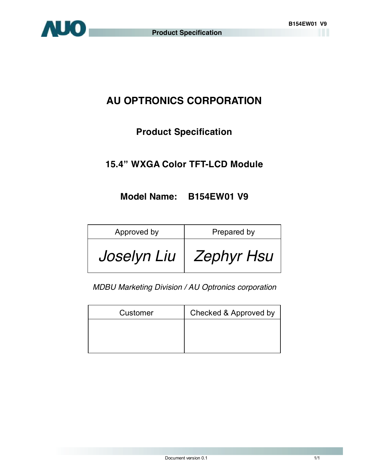

# **AU OPTRONICS CORPORATION**

# **Product Specification**

# **15.4" WXGA Color TFT-LCD Module**

## **Model Name: B154EW01 V9**

| Approved by | Prepared by |
|-------------|-------------|
| Joselyn Liu | Zephyr Hsu  |

*MDBU Marketing Division / AU Optronics corporation*

| Customer | Checked & Approved by |
|----------|-----------------------|
|          |                       |
|          |                       |
|          |                       |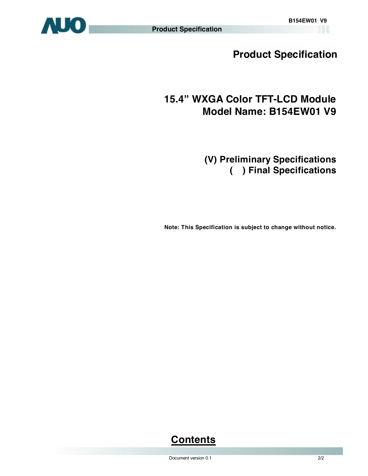

**Product Specification** 

# **15.4" WXGA Color TFT-LCD Module Model Name: B154EW01 V9**

**(V) Preliminary Specifications ( ) Final Specifications** 

 **Note: This Specification is subject to change without notice.**

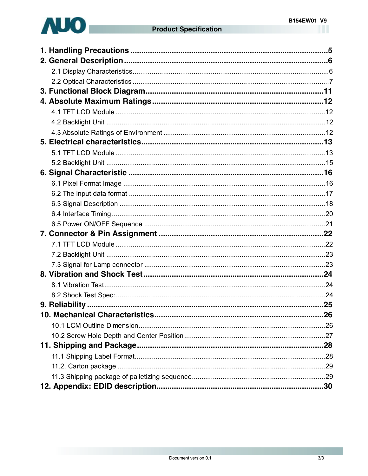

| 10. Mechanical Characteristics |  |
|--------------------------------|--|
|                                |  |
|                                |  |
|                                |  |
|                                |  |
|                                |  |
|                                |  |
|                                |  |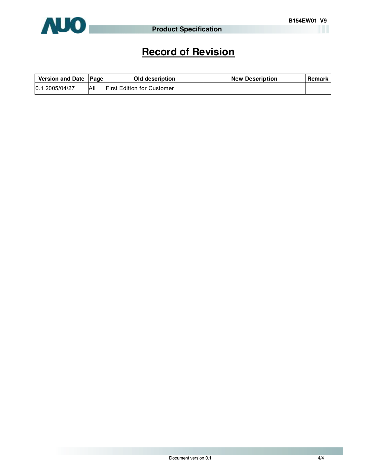

# **Record of Revision**

| Version and Date   Page |     | Old description                   | <b>New Description</b> | <b>Remark</b> |
|-------------------------|-----|-----------------------------------|------------------------|---------------|
| 0.1 2005/04/27          | All | <b>First Edition for Customer</b> |                        |               |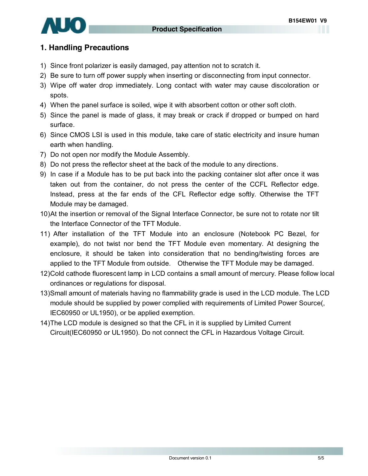

### **1. Handling Precautions**

- 1) Since front polarizer is easily damaged, pay attention not to scratch it.
- 2) Be sure to turn off power supply when inserting or disconnecting from input connector.
- 3) Wipe off water drop immediately. Long contact with water may cause discoloration or spots.
- 4) When the panel surface is soiled, wipe it with absorbent cotton or other soft cloth.
- 5) Since the panel is made of glass, it may break or crack if dropped or bumped on hard surface.
- 6) Since CMOS LSI is used in this module, take care of static electricity and insure human earth when handling.
- 7) Do not open nor modify the Module Assembly.
- 8) Do not press the reflector sheet at the back of the module to any directions.
- 9) In case if a Module has to be put back into the packing container slot after once it was taken out from the container, do not press the center of the CCFL Reflector edge. Instead, press at the far ends of the CFL Reflector edge softly. Otherwise the TFT Module may be damaged.
- 10)At the insertion or removal of the Signal Interface Connector, be sure not to rotate nor tilt the Interface Connector of the TFT Module.
- 11) After installation of the TFT Module into an enclosure (Notebook PC Bezel, for example), do not twist nor bend the TFT Module even momentary. At designing the enclosure, it should be taken into consideration that no bending/twisting forces are applied to the TFT Module from outside. Otherwise the TFT Module may be damaged.
- 12)Cold cathode fluorescent lamp in LCD contains a small amount of mercury. Please follow local ordinances or regulations for disposal.
- 13)Small amount of materials having no flammability grade is used in the LCD module. The LCD module should be supplied by power complied with requirements of Limited Power Source(, IEC60950 or UL1950), or be applied exemption.
- 14)The LCD module is designed so that the CFL in it is supplied by Limited Current Circuit(IEC60950 or UL1950). Do not connect the CFL in Hazardous Voltage Circuit.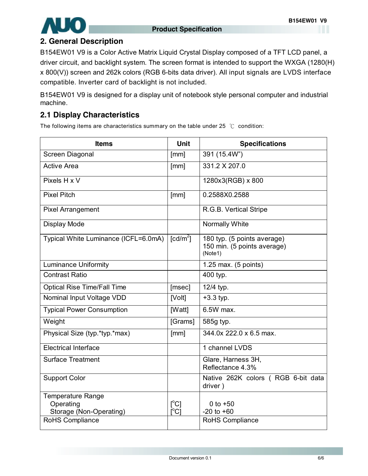

### **2. General Description**

B154EW01 V9 is a Color Active Matrix Liquid Crystal Display composed of a TFT LCD panel, a driver circuit, and backlight system. The screen format is intended to support the WXGA (1280(H) x 800(V)) screen and 262k colors (RGB 6-bits data driver). All input signals are LVDS interface compatible. Inverter card of backlight is not included.

B154EW01 V9 is designed for a display unit of notebook style personal computer and industrial machine.

### **2.1 Display Characteristics**

The following items are characteristics summary on the table under 25 ℃ condition:

| <b>Items</b>                                                                        | <b>Unit</b>                                        | <b>Specifications</b>                                                 |
|-------------------------------------------------------------------------------------|----------------------------------------------------|-----------------------------------------------------------------------|
| Screen Diagonal                                                                     | [mm]                                               | 391 (15.4W")                                                          |
| <b>Active Area</b>                                                                  | [mm]                                               | 331.2 X 207.0                                                         |
| Pixels H x V                                                                        |                                                    | 1280x3(RGB) x 800                                                     |
| <b>Pixel Pitch</b>                                                                  | [mm]                                               | 0.2588X0.2588                                                         |
| <b>Pixel Arrangement</b>                                                            |                                                    | R.G.B. Vertical Stripe                                                |
| Display Mode                                                                        |                                                    | Normally White                                                        |
| Typical White Luminance (ICFL=6.0mA)                                                | $\text{[cd/m}^2$ ]                                 | 180 typ. (5 points average)<br>150 min. (5 points average)<br>(Note1) |
| <b>Luminance Uniformity</b>                                                         |                                                    | 1.25 max. (5 points)                                                  |
| <b>Contrast Ratio</b>                                                               |                                                    | 400 typ.                                                              |
| <b>Optical Rise Time/Fall Time</b>                                                  | [msec]                                             | 12/4 typ.                                                             |
| Nominal Input Voltage VDD                                                           | [Volt]                                             | $+3.3$ typ.                                                           |
| <b>Typical Power Consumption</b>                                                    | [Watt]                                             | 6.5W max.                                                             |
| Weight                                                                              | [Grams]                                            | 585g typ.                                                             |
| Physical Size (typ.*typ.*max)                                                       | [mm]                                               | 344.0x 222.0 x 6.5 max.                                               |
| <b>Electrical Interface</b>                                                         |                                                    | 1 channel LVDS                                                        |
| <b>Surface Treatment</b>                                                            |                                                    | Glare, Harness 3H,<br>Reflectance 4.3%                                |
| <b>Support Color</b>                                                                |                                                    | Native 262K colors (RGB 6-bit data<br>driver)                         |
| <b>Temperature Range</b><br>Operating<br>Storage (Non-Operating)<br>RoHS Compliance | $\mathsf{I}^{\circ}$ Cl<br>$\mathsf{I}^{\circ}$ Cl | 0 to $+50$<br>$-20$ to $+60$<br>RoHS Compliance                       |
|                                                                                     |                                                    |                                                                       |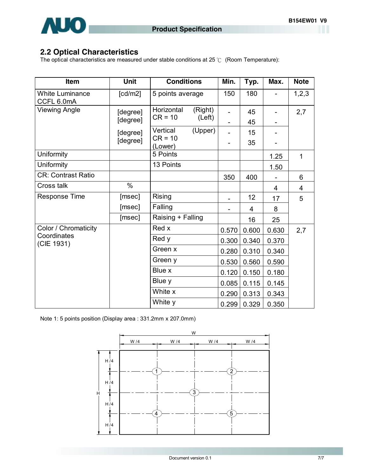### **2.2 Optical Characteristics**

The optical characteristics are measured under stable conditions at 25 ℃ (Room Temperature):

| <b>Item</b>                          | <b>Unit</b> | <b>Conditions</b>                | Min.                         | Typ.           | Max.           | <b>Note</b>  |
|--------------------------------------|-------------|----------------------------------|------------------------------|----------------|----------------|--------------|
| <b>White Luminance</b><br>CCFL 6.0mA | [cd/m2]     | 5 points average                 | 150                          | 180            |                | 1,2,3        |
| <b>Viewing Angle</b>                 | [degree]    | Horizontal<br>(Right)            |                              | 45             |                | 2,7          |
|                                      | [degree]    | $CR = 10$<br>(Left)              |                              | 45             |                |              |
|                                      | [degree]    | Vertical<br>(Upper)<br>$CR = 10$ |                              | 15             |                |              |
|                                      | [degree]    | (Lower)                          |                              | 35             |                |              |
| Uniformity                           |             | 5 Points                         |                              |                | 1.25           | $\mathbf{1}$ |
| Uniformity                           |             | 13 Points                        |                              |                | 1.50           |              |
| CR: Contrast Ratio                   |             |                                  | 350                          | 400            |                | 6            |
| Cross talk                           | %           |                                  |                              |                | $\overline{4}$ | 4            |
| <b>Response Time</b>                 | [msec]      | Rising                           | $\qquad \qquad \blacksquare$ | 12             | 17             | 5            |
|                                      | [msec]      | Falling                          |                              | $\overline{4}$ | 8              |              |
|                                      | [msec]      | Raising + Falling                |                              | 16             | 25             |              |
| Color / Chromaticity                 |             | Red x                            | 0.570                        | 0.600          | 0.630          | 2,7          |
| Coordinates<br>(CIE 1931)            |             | Red y                            | 0.300                        | 0.340          | 0.370          |              |
|                                      |             | Green x                          | 0.280                        | 0.310          | 0.340          |              |
|                                      |             | Green y                          | 0.530                        | 0.560          | 0.590          |              |
|                                      |             | Blue x                           | 0.120                        | 0.150          | 0.180          |              |
|                                      |             | Blue y                           | 0.085                        | 0.115          | 0.145          |              |
|                                      |             | White x                          | 0.290                        | 0.313          | 0.343          |              |
|                                      |             | White y                          | 0.299                        | 0.329          | 0.350          |              |

Note 1: 5 points position (Display area : 331.2mm x 207.0mm)

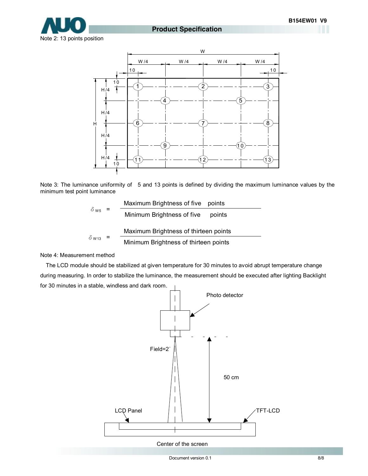

#### **Product Specification**

Note 2: 13 points position



Note 3: The luminance uniformity of 5 and 13 points is defined by dividing the maximum luminance values by the minimum test point luminance

$$
\delta_{\text{W5}} = \frac{\text{Maximum brightness of five points}}{\text{Minimum brightness of five points}}
$$
\n
$$
\delta_{\text{W13}} = \frac{\text{Maximum brightness of thirteen points}}{\text{Minimum brightness of thirteen points}}
$$

Note 4: Measurement method

The LCD module should be stabilized at given temperature for 30 minutes to avoid abrupt temperature change during measuring. In order to stabilize the luminance, the measurement should be executed after lighting Backlight for 30 minutes in a stable, windless and dark room.



Center of the screen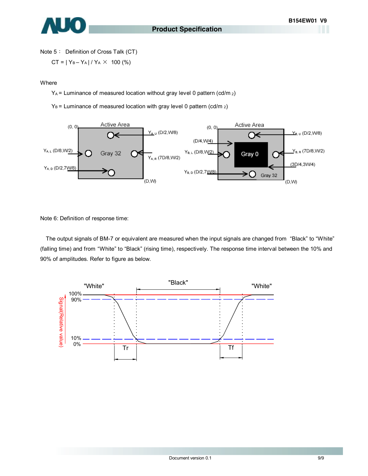

Note 5: Definition of Cross Talk (CT)

$$
CT = |Y_B - Y_A| / Y_A \times 100 \, (%)
$$

**Where** 

YA = Luminance of measured location without gray level 0 pattern (cd/m 2)

 $Y_B$  = Luminance of measured location with gray level 0 pattern (cd/m  $_2$ )



Note 6: Definition of response time:

The output signals of BM-7 or equivalent are measured when the input signals are changed from "Black" to "White" (falling time) and from "White" to "Black" (rising time), respectively. The response time interval between the 10% and 90% of amplitudes. Refer to figure as below.

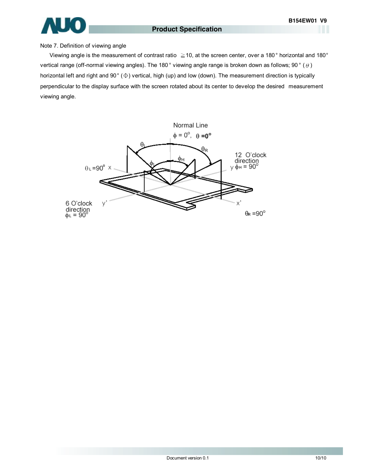

#### Note 7. Definition of viewing angle

Viewing angle is the measurement of contrast ratio ≧10, at the screen center, over a 180° horizontal and 180° vertical range (off-normal viewing angles). The 180 ° viewing angle range is broken down as follows; 90 ° (θ) horizontal left and right and 90° (Φ) vertical, high (up) and low (down). The measurement direction is typically perpendicular to the display surface with the screen rotated about its center to develop the desired measurement viewing angle.

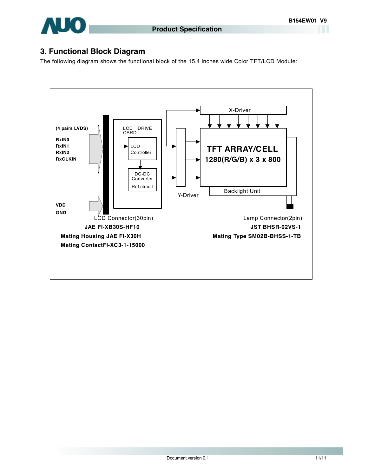

### **3. Functional Block Diagram**

The following diagram shows the functional block of the 15.4 inches wide Color TFT/LCD Module:

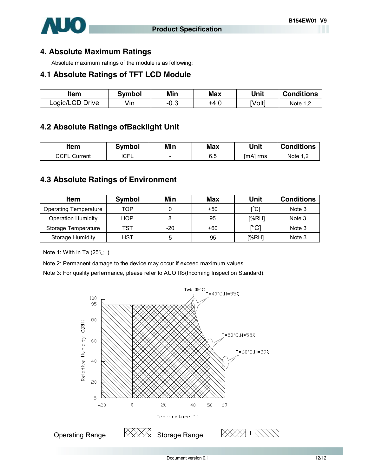

### **4. Absolute Maximum Ratings**

Absolute maximum ratings of the module is as following:

#### **4.1 Absolute Ratings of TFT LCD Module**

| ltem            | Svmbol | Min             | <b>Max</b> | Unit   | <b>Conditions</b> |
|-----------------|--------|-----------------|------------|--------|-------------------|
| Logic/LCD Drive | √in    | ົ<br>$-U. \cup$ | +4.ບ       | [Volt] | Note 1            |

### **4.2 Absolute Ratings ofBacklight Unit**

| ltem            | <b>Symbol</b> | Min                      | <b>Max</b> | Unit       | <b>Conditions</b> |
|-----------------|---------------|--------------------------|------------|------------|-------------------|
| CCFL<br>Current | <b>ICFL</b>   | $\overline{\phantom{a}}$ | 6.5        | $[mA]$ rms | Note 1            |

### **4.3 Absolute Ratings of Environment**

| Item                         | Symbol     | Min | Max   | Unit                                   | <b>Conditions</b> |
|------------------------------|------------|-----|-------|----------------------------------------|-------------------|
| <b>Operating Temperature</b> | TOP        |     | $+50$ | $\mathsf{I}^\circ\mathsf{C}$           | Note 3            |
| <b>Operation Humidity</b>    | <b>HOP</b> | 8   | 95    | [%RH]                                  | Note 3            |
| Storage Temperature          | TST        | -20 | $+60$ | $\mathop{\rm l{}}\nolimits^{\circ}$ C1 | Note 3            |
| Storage Humidity             | HST        | 5   | 95    | [%RH]                                  | Note 3            |

Note 1: With in Ta (25℃)

Note 2: Permanent damage to the device may occur if exceed maximum values

Note 3: For quality perfermance, please refer to AUO IIS(Incoming Inspection Standard).

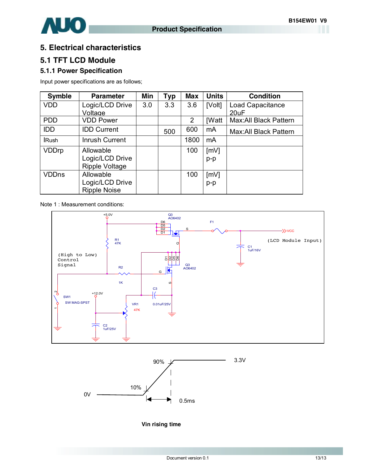

### **5. Electrical characteristics**

### **5.1 TFT LCD Module**

#### **5.1.1 Power Specification**

Input power specifications are as follows;

| <b>Symble</b> | <b>Parameter</b>    | Min | <b>Typ</b> | <b>Max</b> | <b>Units</b> | <b>Condition</b>       |
|---------------|---------------------|-----|------------|------------|--------------|------------------------|
| <b>VDD</b>    | Logic/LCD Drive     | 3.0 | 3.3        | 3.6        | [Volt]       | Load Capacitance       |
|               | Voltage             |     |            |            |              | 20uF                   |
| <b>PDD</b>    | <b>VDD Power</b>    |     |            | 2          | <b>IWatt</b> | Max: All Black Pattern |
| <b>IDD</b>    | <b>IDD Current</b>  |     | 500        | 600        | mA           | Max: All Black Pattern |
| <b>Rush</b>   | Inrush Current      |     |            | 1800       | mA           |                        |
| <b>VDDrp</b>  | Allowable           |     |            | 100        | [mV]         |                        |
|               | Logic/LCD Drive     |     |            |            | $p-p$        |                        |
|               | Ripple Voltage      |     |            |            |              |                        |
| <b>VDDns</b>  | Allowable           |     |            | 100        | [mV]         |                        |
|               | Logic/LCD Drive     |     |            |            | p-p          |                        |
|               | <b>Ripple Noise</b> |     |            |            |              |                        |

Note 1 : Measurement conditions:





**Vin rising time**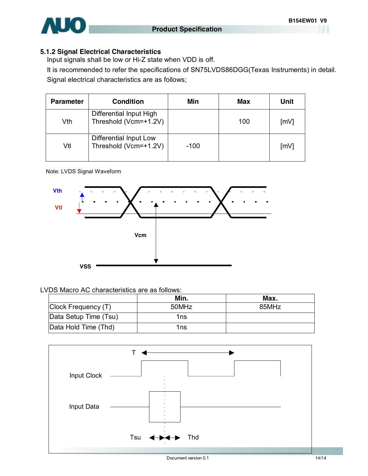

#### **5.1.2 Signal Electrical Characteristics**

Input signals shall be low or Hi-Z state when VDD is off.

It is recommended to refer the specifications of SN75LVDS86DGG(Texas Instruments) in detail. Signal electrical characteristics are as follows;

| <b>Parameter</b> | <b>Condition</b>                                 | Min    | Max | <b>Unit</b> |
|------------------|--------------------------------------------------|--------|-----|-------------|
| Vth              | Differential Input High<br>Threshold (Vcm=+1.2V) |        | 100 | [mV]        |
| Vtl              | Differential Input Low<br>Threshold (Vcm=+1.2V)  | $-100$ |     | [mV]        |

#### Note: LVDS Signal Waveform



#### LVDS Macro AC characteristics are as follows:

|                       | Min.  | Max.  |
|-----------------------|-------|-------|
| Clock Frequency (T)   | 50MHz | 85MHz |
| Data Setup Time (Tsu) | 1ns   |       |
| Data Hold Time (Thd)  | 1ns   |       |

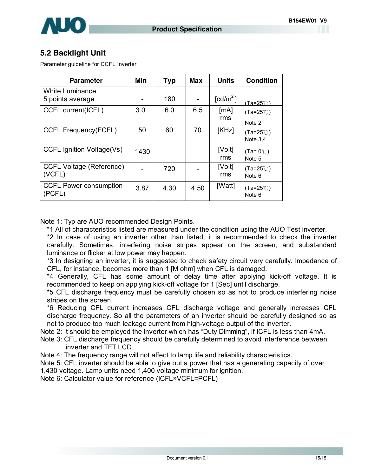

### **5.2 Backlight Unit**

Parameter guideline for CCFL Inverter

| <b>Parameter</b>                           | Min  | <b>Typ</b> | Max  | <b>Units</b>         | <b>Condition</b>                 |
|--------------------------------------------|------|------------|------|----------------------|----------------------------------|
| <b>White Luminance</b><br>5 points average |      | 180        |      | [cd/m <sup>2</sup> ] | $(Ta=25^\circ \cap)$             |
| CCFL current(ICFL)                         | 3.0  | 6.0        | 6.5  | [mA]<br>rms          | $(Ta=25^{\circ}C)$<br>Note 2     |
| <b>CCFL Frequency(FCFL)</b>                | 50   | 60         | 70   | [KHz]                | $(Ta=25^{\circ}C)$<br>Note $3,4$ |
| CCFL Ignition Voltage(Vs)                  | 1430 |            |      | [Volt]<br>rms        | $(Ta=0^{\circ}$<br>Note 5        |
| <b>CCFL Voltage (Reference)</b><br>(VCFL)  |      | 720        |      | [Volt]<br>rms        | $(Ta=25^{\circ}C)$<br>Note 6     |
| <b>CCFL Power consumption</b><br>(PCFL)    | 3.87 | 4.30       | 4.50 | [Watt]               | $(Ta=25^{\circ}C)$<br>Note 6     |

Note 1: Typ are AUO recommended Design Points.

\*1 All of characteristics listed are measured under the condition using the AUO Test inverter.

\*2 In case of using an inverter other than listed, it is recommended to check the inverter carefully. Sometimes, interfering noise stripes appear on the screen, and substandard luminance or flicker at low power may happen.

\*3 In designing an inverter, it is suggested to check safety circuit very carefully. Impedance of CFL, for instance, becomes more than 1 [M ohm] when CFL is damaged.

\*4 Generally, CFL has some amount of delay time after applying kick-off voltage. It is recommended to keep on applying kick-off voltage for 1 [Sec] until discharge.

\*5 CFL discharge frequency must be carefully chosen so as not to produce interfering noise stripes on the screen.

\*6 Reducing CFL current increases CFL discharge voltage and generally increases CFL discharge frequency. So all the parameters of an inverter should be carefully designed so as not to produce too much leakage current from high-voltage output of the inverter.

Note 2: It should be employed the inverter which has "Duty Dimming", if ICFL is less than 4mA.

Note 3: CFL discharge frequency should be carefully determined to avoid interference between inverter and TFT LCD.

Note 4: The frequency range will not affect to lamp life and reliability characteristics.

Note 5: CFL inverter should be able to give out a power that has a generating capacity of over 1,430 voltage. Lamp units need 1,400 voltage minimum for ignition.

Note 6: Calculator value for reference (ICFL×VCFL=PCFL)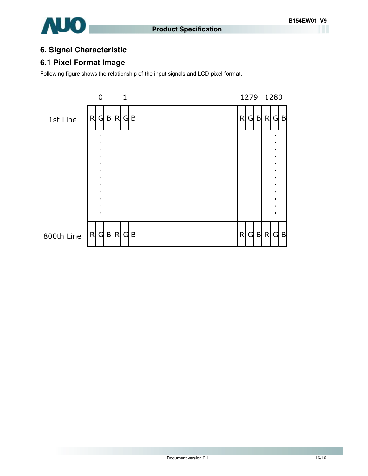

### **6. Signal Characteristic**

### **6.1 Pixel Format Image**

Following figure shows the relationship of the input signals and LCD pixel format.

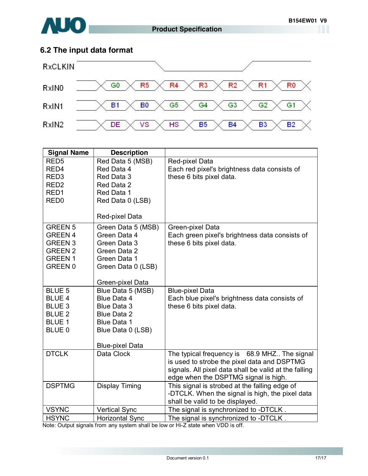

# **6.2 The input data format**



| <b>Signal Name</b>               | <b>Description</b>           |                                                       |
|----------------------------------|------------------------------|-------------------------------------------------------|
| RED <sub>5</sub>                 | Red Data 5 (MSB)             | Red-pixel Data                                        |
| RED4                             | Red Data 4                   | Each red pixel's brightness data consists of          |
| RED <sub>3</sub>                 | Red Data 3                   | these 6 bits pixel data.                              |
| RED <sub>2</sub>                 | Red Data 2                   |                                                       |
| RED1                             | Red Data 1                   |                                                       |
| RED <sub>0</sub>                 | Red Data 0 (LSB)             |                                                       |
|                                  | Red-pixel Data               |                                                       |
|                                  |                              |                                                       |
| <b>GREEN 5</b>                   | Green Data 5 (MSB)           | Green-pixel Data                                      |
| <b>GREEN 4</b>                   | Green Data 4                 | Each green pixel's brightness data consists of        |
| <b>GREEN 3</b><br><b>GREEN 2</b> | Green Data 3<br>Green Data 2 | these 6 bits pixel data.                              |
| <b>GREEN1</b>                    | Green Data 1                 |                                                       |
| <b>GREEN 0</b>                   | Green Data 0 (LSB)           |                                                       |
|                                  |                              |                                                       |
|                                  | Green-pixel Data             |                                                       |
| <b>BLUE 5</b>                    | Blue Data 5 (MSB)            | <b>Blue-pixel Data</b>                                |
| <b>BLUE 4</b>                    | <b>Blue Data 4</b>           | Each blue pixel's brightness data consists of         |
| BLUE <sub>3</sub>                | <b>Blue Data 3</b>           | these 6 bits pixel data.                              |
| <b>BLUE 2</b>                    | <b>Blue Data 2</b>           |                                                       |
| <b>BLUE 1</b>                    | <b>Blue Data 1</b>           |                                                       |
| BLUE 0                           | Blue Data 0 (LSB)            |                                                       |
|                                  | <b>Blue-pixel Data</b>       |                                                       |
| <b>DTCLK</b>                     | Data Clock                   | The typical frequency is 68.9 MHZ The signal          |
|                                  |                              | is used to strobe the pixel data and DSPTMG           |
|                                  |                              | signals. All pixel data shall be valid at the falling |
|                                  |                              | edge when the DSPTMG signal is high.                  |
| <b>DSPTMG</b>                    | <b>Display Timing</b>        | This signal is strobed at the falling edge of         |
|                                  |                              | -DTCLK. When the signal is high, the pixel data       |
|                                  |                              | shall be valid to be displayed.                       |
| <b>VSYNC</b>                     | <b>Vertical Sync</b>         | The signal is synchronized to -DTCLK.                 |
| <b>HSYNC</b>                     | <b>Horizontal Sync</b>       | The signal is synchronized to -DTCLK.                 |

Note: Output signals from any system shall be low or Hi-Z state when VDD is off.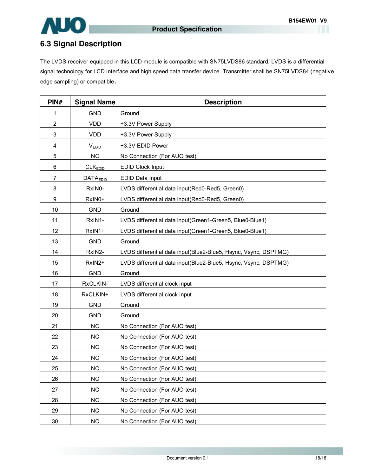

## **6.3 Signal Description**

The LVDS receiver equipped in this LCD module is compatible with SN75LVDS86 standard. LVDS is a differential signal technology for LCD interface and high speed data transfer device. Transmitter shall be SN75LVDS84 (negative edge sampling) or compatible**.** 

| PIN#           | <b>Signal Name</b>  | <b>Description</b>                                              |
|----------------|---------------------|-----------------------------------------------------------------|
| 1              | <b>GND</b>          | Ground                                                          |
| 2              | <b>VDD</b>          | +3.3V Power Supply                                              |
| 3              | <b>VDD</b>          | +3.3V Power Supply                                              |
| 4              | V <sub>EDID</sub>   | +3.3V EDID Power                                                |
| 5              | <b>NC</b>           | No Connection (For AUO test)                                    |
| 6              | CLK <sub>EDID</sub> | <b>EDID Clock Input</b>                                         |
| $\overline{7}$ | <b>DATAEDID</b>     | <b>EDID Data Input</b>                                          |
| 8              | RxIN0-              | LVDS differential data input(Red0-Red5, Green0)                 |
| 9              | RxIN0+              | LVDS differential data input(Red0-Red5, Green0)                 |
| 10             | <b>GND</b>          | Ground                                                          |
| 11             | RxIN1-              | LVDS differential data input(Green1-Green5, Blue0-Blue1)        |
| 12             | RxIN1+              | LVDS differential data input(Green1-Green5, Blue0-Blue1)        |
| 13             | <b>GND</b>          | Ground                                                          |
| 14             | RxIN2-              | LVDS differential data input(Blue2-Blue5, Hsync, Vsync, DSPTMG) |
| 15             | RxIN2+              | LVDS differential data input(Blue2-Blue5, Hsync, Vsync, DSPTMG) |
| 16             | <b>GND</b>          | Ground                                                          |
| 17             | RxCLKIN-            | LVDS differential clock input                                   |
| 18             | RxCLKIN+            | LVDS differential clock input                                   |
| 19             | <b>GND</b>          | Ground                                                          |
| 20             | <b>GND</b>          | Ground                                                          |
| 21             | NC                  | No Connection (For AUO test)                                    |
| 22             | <b>NC</b>           | No Connection (For AUO test)                                    |
| 23             | <b>NC</b>           | No Connection (For AUO test)                                    |
| 24             | <b>NC</b>           | No Connection (For AUO test)                                    |
| 25             | NC                  | No Connection (For AUO test)                                    |
| 26             | NC                  | No Connection (For AUO test)                                    |
| 27             | NC                  | No Connection (For AUO test)                                    |
| 28             | NC                  | No Connection (For AUO test)                                    |
| 29             | NC                  | No Connection (For AUO test)                                    |
| 30             | <b>NC</b>           | No Connection (For AUO test)                                    |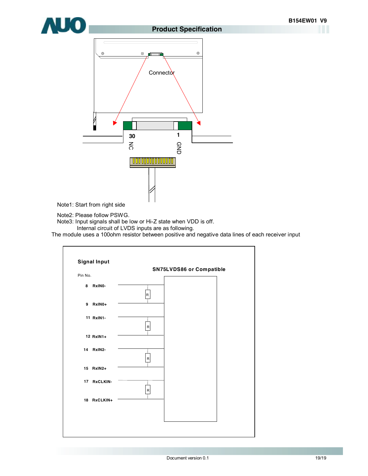

#### **Product Specification**



Note1: Start from right side

Note2: Please follow PSWG.

Note3: Input signals shall be low or Hi-Z state when VDD is off.

Internal circuit of LVDS inputs are as following.

The module uses a 100ohm resistor between positive and negative data lines of each receiver input

|                                    |              | SN75LVDS86 or Compatible |
|------------------------------------|--------------|--------------------------|
| Pin No.                            |              |                          |
| RxINO-<br>8                        | R            |                          |
| 9 RxIN0+                           |              |                          |
| 11 RxIN1-                          |              |                          |
| 12 RxIN1+                          | $\mathsf{R}$ |                          |
| 14 RxIN2-                          |              |                          |
| 15 RxIN2+                          | ${\sf R}$    |                          |
| <b>RxCLKIN-</b><br>17 <sub>1</sub> |              |                          |
| 18 RxCLKIN+                        | ${\sf R}$    |                          |
|                                    |              |                          |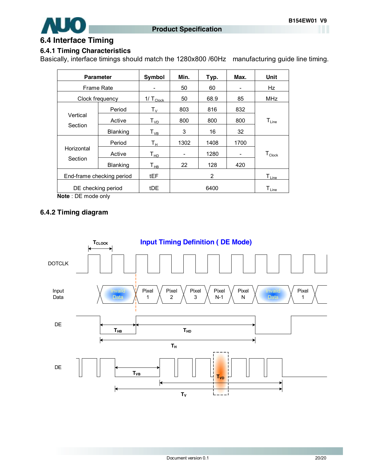

### **6.4 Interface Timing**

### **6.4.1 Timing Characteristics**

Basically, interface timings should match the 1280x800 /60Hz manufacturing guide line timing.

|                           | <b>Parameter</b>  | Symbol                     | Min.                     | Typ. | Max. | Unit                         |
|---------------------------|-------------------|----------------------------|--------------------------|------|------|------------------------------|
|                           | <b>Frame Rate</b> |                            | 50                       | 60   |      | Hz                           |
| Clock frequency           |                   | $1/\top_{\text{Clock}}$    | 50                       | 68.9 | 85   | MHz                          |
|                           | Period            | ${\sf T}_{\sf V}$          | 803                      | 816  | 832  |                              |
| Vertical                  | Active            | T <sub>VD</sub>            | 800                      | 800  | 800  | $T_{Line}$                   |
| Section                   | Blanking          | $T_{VB}$                   | 3                        | 16   | 32   |                              |
|                           | Period            | Tн                         | 1302                     | 1408 | 1700 |                              |
| Horizontal                | Active            | $\mathsf{T}_{\mathsf{HD}}$ | $\overline{\phantom{a}}$ | 1280 | -    | $T_{\text{Clock}}$           |
| Section                   | <b>Blanking</b>   | $\mathsf{T}_{\mathsf{HB}}$ | 22                       | 128  | 420  |                              |
| End-frame checking period |                   | tEF                        |                          | 2    |      | $\mathsf{T}_{\mathsf{Line}}$ |
| DE checking period        |                   | tDE                        |                          | 6400 |      | $T_{Line}$                   |

**Note** : DE mode only

### **6.4.2 Timing diagram**

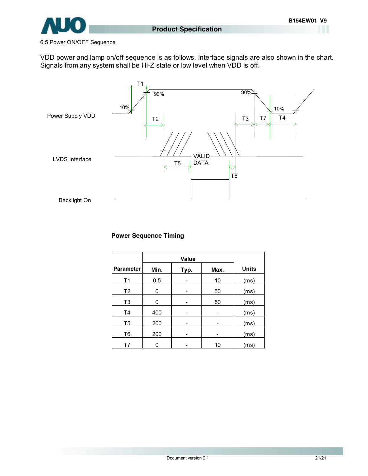

#### 6.5 Power ON/OFF Sequence

VDD power and lamp on/off sequence is as follows. Interface signals are also shown in the chart. Signals from any system shall be Hi-Z state or low level when VDD is off.



#### **Power Sequence Timing**

|                  | Value |      |      |              |
|------------------|-------|------|------|--------------|
| <b>Parameter</b> | Min.  | Typ. | Max. | <b>Units</b> |
| T1               | 0.5   |      | 10   | (ms)         |
| T <sub>2</sub>   | 0     |      | 50   | (ms)         |
| T <sub>3</sub>   | 0     | -    | 50   | (ms)         |
| T4               | 400   |      |      | (ms)         |
| T <sub>5</sub>   | 200   | -    |      | (ms)         |
| T <sub>6</sub>   | 200   | -    | -    | (ms)         |
| T7               | n     |      | 10   | (ms)         |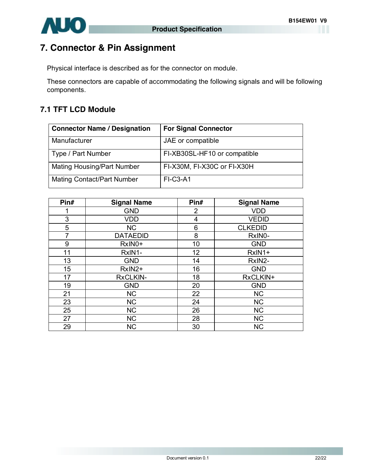

# **7. Connector & Pin Assignment**

Physical interface is described as for the connector on module.

These connectors are capable of accommodating the following signals and will be following components.

### **7.1 TFT LCD Module**

| <b>Connector Name / Designation</b> | <b>For Signal Connector</b>  |
|-------------------------------------|------------------------------|
| Manufacturer                        | JAE or compatible            |
| Type / Part Number                  | FI-XB30SL-HF10 or compatible |
| <b>Mating Housing/Part Number</b>   | FI-X30M, FI-X30C or FI-X30H  |
| <b>Mating Contact/Part Number</b>   | $FI-C3-A1$                   |

| Pin# | <b>Signal Name</b> | Pin#           | <b>Signal Name</b> |
|------|--------------------|----------------|--------------------|
|      | <b>GND</b>         | $\overline{2}$ | <b>VDD</b>         |
| 3    | <b>VDD</b>         | 4              | <b>VEDID</b>       |
| 5    | <b>NC</b>          | 6              | <b>CLKEDID</b>     |
| 7    | <b>DATAEDID</b>    | 8              | RxIN0-             |
| 9    | RxIN0+             | 10             | <b>GND</b>         |
| 11   | RxIN1-             | 12             | RxIN1+             |
| 13   | <b>GND</b>         | 14             | RxIN2-             |
| 15   | RxIN2+             | 16             | <b>GND</b>         |
| 17   | <b>RxCLKIN-</b>    | 18             | RxCLKIN+           |
| 19   | <b>GND</b>         | 20             | <b>GND</b>         |
| 21   | <b>NC</b>          | 22             | <b>NC</b>          |
| 23   | <b>NC</b>          | 24             | <b>NC</b>          |
| 25   | <b>NC</b>          | 26             | <b>NC</b>          |
| 27   | <b>NC</b>          | 28             | <b>NC</b>          |
| 29   | <b>NC</b>          | 30             | <b>NC</b>          |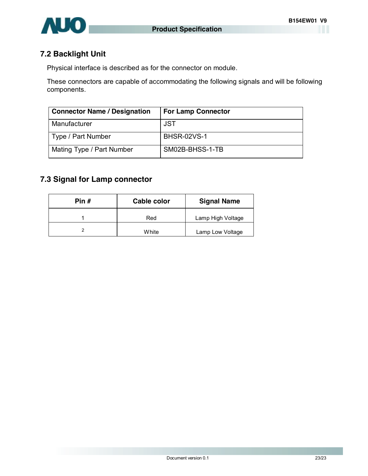

### **7.2 Backlight Unit**

Physical interface is described as for the connector on module.

These connectors are capable of accommodating the following signals and will be following components.

| <b>Connector Name / Designation</b> | <b>For Lamp Connector</b> |
|-------------------------------------|---------------------------|
| Manufacturer                        | JST                       |
| Type / Part Number                  | <b>BHSR-02VS-1</b>        |
| Mating Type / Part Number           | SM02B-BHSS-1-TB           |

## **7.3 Signal for Lamp connector**

| Pin # | <b>Cable color</b> | <b>Signal Name</b> |
|-------|--------------------|--------------------|
|       | Red                | Lamp High Voltage  |
|       | White              | Lamp Low Voltage   |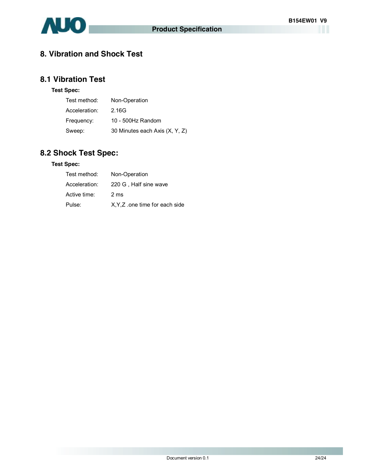

### **8. Vibration and Shock Test**

### **8.1 Vibration Test**

#### **Test Spec:**

| Test method:  | Non-Operation                  |
|---------------|--------------------------------|
| Acceleration: | 2.16G                          |
| Frequency:    | 10 - 500Hz Random              |
| Sweep:        | 30 Minutes each Axis (X, Y, Z) |

## **8.2 Shock Test Spec:**

#### **Test Spec:**

| Test method:  | Non-Operation                  |
|---------------|--------------------------------|
| Acceleration: | 220 G, Half sine wave          |
| Active time:  | 2 ms                           |
| Pulse:        | X, Y, Z one time for each side |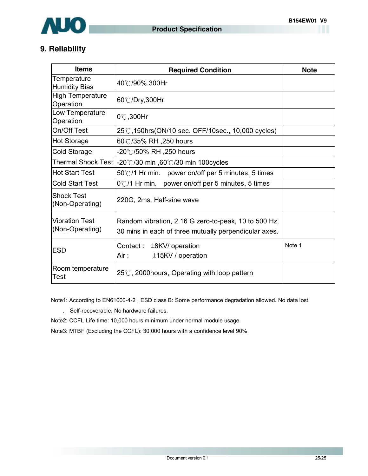

### **9. Reliability**

| <b>Items</b>                             | <b>Required Condition</b>                                                                                     | <b>Note</b> |
|------------------------------------------|---------------------------------------------------------------------------------------------------------------|-------------|
| Temperature<br><b>Humidity Bias</b>      | 40℃/90%,300Hr                                                                                                 |             |
| <b>High Temperature</b><br>Operation     | 60℃/Dry,300Hr                                                                                                 |             |
| Low Temperature<br>Operation             | 0°C,300Hr                                                                                                     |             |
| On/Off Test                              | 25℃,150hrs(ON/10 sec. OFF/10sec., 10,000 cycles)                                                              |             |
| <b>Hot Storage</b>                       | 60℃/35% RH ,250 hours                                                                                         |             |
| Cold Storage                             | -20℃/50% RH ,250 hours                                                                                        |             |
| <b>Thermal Shock Test</b>                | -20°C/30 min ,60°C/30 min 100 cycles                                                                          |             |
| <b>Hot Start Test</b>                    | $50^{\circ}$ /1 Hr min. power on/off per 5 minutes, 5 times                                                   |             |
| <b>Cold Start Test</b>                   | 0°C/1 Hr min. power on/off per 5 minutes, 5 times                                                             |             |
| <b>Shock Test</b><br>(Non-Operating)     | 220G, 2ms, Half-sine wave                                                                                     |             |
| <b>Vibration Test</b><br>(Non-Operating) | Random vibration, 2.16 G zero-to-peak, 10 to 500 Hz,<br>30 mins in each of three mutually perpendicular axes. |             |
| <b>ESD</b>                               | Contact:<br>±8KV/ operation<br>Air :<br>±15KV / operation                                                     | Note 1      |
| Room temperature<br><b>Test</b>          | $25^{\circ}$ C, 2000 hours, Operating with loop pattern                                                       |             |

Note1: According to EN61000-4-2 , ESD class B: Some performance degradation allowed. No data lost

- . Self-recoverable. No hardware failures.
- Note2: CCFL Life time: 10,000 hours minimum under normal module usage.
- Note3: MTBF (Excluding the CCFL): 30,000 hours with a confidence level 90%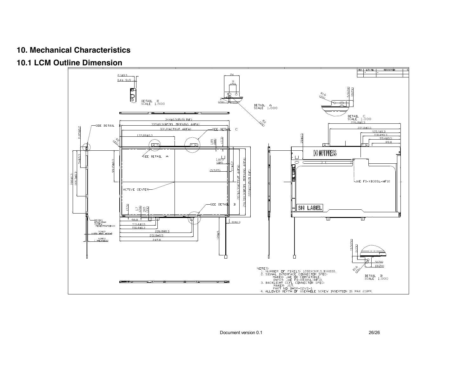### **10. Mechanical Characteristics**

**10.1 LCM Outline Dimension** 

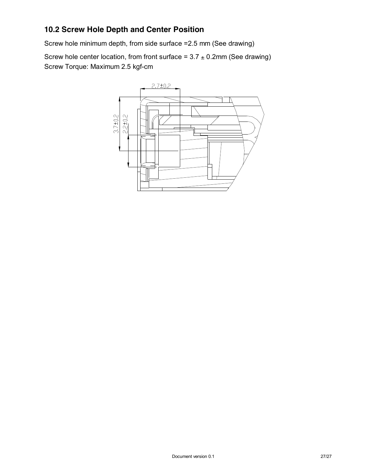### **10.2 Screw Hole Depth and Center Position**

Screw hole minimum depth, from side surface =2.5 mm (See drawing)

Screw hole center location, from front surface =  $3.7 \pm 0.2$ mm (See drawing) Screw Torque: Maximum 2.5 kgf-cm

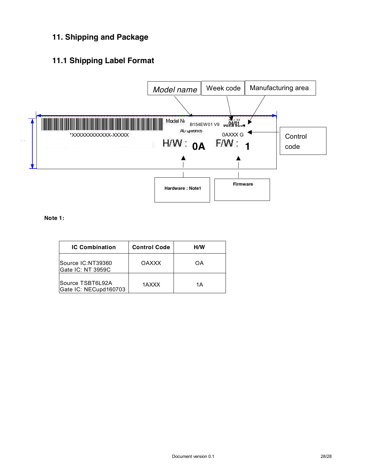## **11. Shipping and Package**

### **11.1 Shipping Label Format**



**Note 1:** 

| <b>IC Combination</b>                     | <b>Control Code</b> | нw |  |
|-------------------------------------------|---------------------|----|--|
| Source IC:NT39360<br>Gate IC: NT 3959C    | <b>OAXXX</b>        | OΑ |  |
| Source TSBT6L92A<br>Gate IC: NECupd160703 | 1AXXX               | 1Α |  |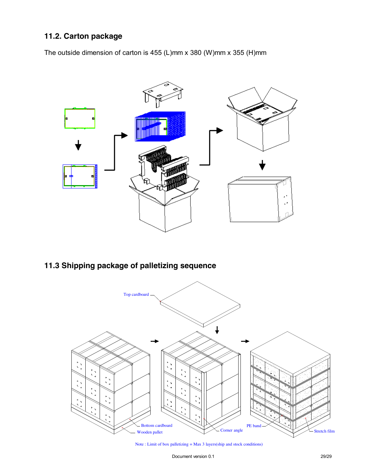### **11.2. Carton package**

The outside dimension of carton is 455 (L)mm x 380 (W)mm x 355 (H)mm



**11.3 Shipping package of palletizing sequence** 



Note : Limit of box palletizing = Max 3 layers(ship and stock conditions)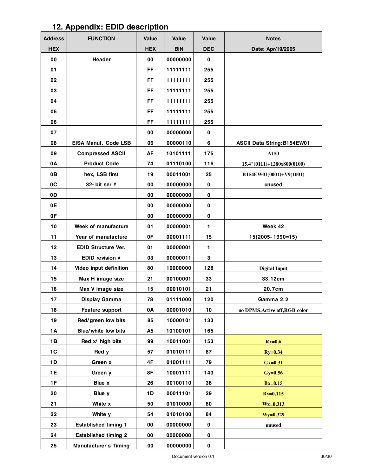# **12. Appendix: EDID description**

| <b>Address</b> | <b>FUNCTION</b>              | Value      | Value      | Value       | <b>Notes</b>                      |
|----------------|------------------------------|------------|------------|-------------|-----------------------------------|
| <b>HEX</b>     |                              | <b>HEX</b> | <b>BIN</b> | <b>DEC</b>  | Date: Apr/19/2005                 |
| 00             | Header                       | 00         | 00000000   | $\bf{0}$    |                                   |
| 01             |                              | <b>FF</b>  | 11111111   | 255         |                                   |
| 02             |                              | <b>FF</b>  | 11111111   | 255         |                                   |
| 03             |                              | <b>FF</b>  | 11111111   | 255         |                                   |
| 04             |                              | FF         | 11111111   | 255         |                                   |
| 05             |                              | <b>FF</b>  | 11111111   | 255         |                                   |
| 06             |                              | <b>FF</b>  | 11111111   | 255         |                                   |
| 07             |                              | 00         | 00000000   | $\mathbf 0$ |                                   |
| 08             | EISA Manuf. Code LSB         | 06         | 00000110   | 6           | <b>ASCII Data String:B154EW01</b> |
| 09             | <b>Compressed ASCII</b>      | AF         | 10101111   | 175         | <b>AUO</b>                        |
| 0A             | <b>Product Code</b>          | 74         | 01110100   | 116         | 15.4"(0111)+1280x800(0100)        |
| 0B             | hex, LSB first               | 19         | 00011001   | 25          | B154EW01(0001)+V9(1001)           |
| 0C             | 32- bit ser $#$              | 00         | 00000000   | $\mathbf 0$ | unused                            |
| 0D             |                              | 00         | 00000000   | $\pmb{0}$   |                                   |
| 0E             |                              | 00         | 00000000   | $\bf{0}$    |                                   |
| 0F             |                              | 00         | 00000000   | $\bf{0}$    |                                   |
| 10             | Week of manufacture          | 01         | 00000001   | 1           | Week 42                           |
| 11             | Year of manufacture          | 0F         | 00001111   | 15          | 15(2005-1990=15)                  |
| 12             | <b>EDID Structure Ver.</b>   | 01         | 00000001   | 1           |                                   |
| 13             | EDID revision #              | 03         | 00000011   | 3           |                                   |
| 14             | Video input definition       | 80         | 10000000   | 128         | <b>Digital Input</b>              |
| 15             | Max H image size             | 21         | 00100001   | 33          | 33.12cm                           |
| 16             | Max V image size             | 15         | 00010101   | 21          | 20.7cm                            |
| 17             | Display Gamma                | 78         | 01111000   | 120         | Gamma 2.2                         |
| 18             | <b>Feature support</b>       | 0A         | 00001010   | 10          | no DPMS, Active off, RGB color    |
| 19             | Red/green low bits           | 85         | 10000101   | 133         |                                   |
| <b>1A</b>      | Blue/white low bits          | A5         | 10100101   | 165         |                                   |
| 1B             | Red x/ high bits             | 99         | 10011001   | 153         | $Rx=0.6$                          |
| 1C             | Red y                        | 57         | 01010111   | 87          | $Ry=0.34$                         |
| 1D             | Green x                      | 4F         | 01001111   | 79          | $Gx=0.31$                         |
| 1E             | Green y                      | 8F         | 10001111   | 143         | $Gy=0.56$                         |
| 1F             | Blue x                       | 26         | 00100110   | 38          | $Bx=0.15$                         |
| 20             | Blue y                       | 1D         | 00011101   | 29          | $B_y=0.115$                       |
| 21             | White x                      | 50         | 01010000   | 80          | $Wx=0.313$                        |
| 22             | White y                      | 54         | 01010100   | 84          | $Wy=0.329$                        |
| 23             | <b>Established timing 1</b>  | 00         | 00000000   | $\bf{0}$    | unused                            |
| 24             | <b>Established timing 2</b>  | 00         | 00000000   | $\pmb{0}$   |                                   |
| 25             | <b>Manufacturer's Timing</b> | 00         | 00000000   | 0           |                                   |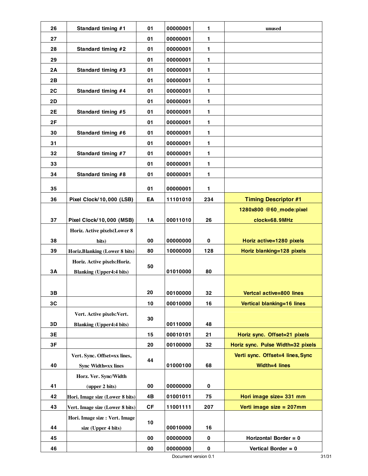| 26        | Standard timing #1              | 01        | 00000001 | $\mathbf{1}$ | unused                            |
|-----------|---------------------------------|-----------|----------|--------------|-----------------------------------|
| 27        |                                 | 01        | 00000001 | 1            |                                   |
| 28        | Standard timing #2              | 01        | 00000001 | $\mathbf{1}$ |                                   |
| 29        |                                 | 01        | 00000001 | $\mathbf{1}$ |                                   |
| 2A        | Standard timing #3              | 01        | 00000001 | $\mathbf{1}$ |                                   |
| 2B        |                                 | 01        | 00000001 | $\mathbf{1}$ |                                   |
| 2C        | Standard timing #4              | 01        | 00000001 | $\mathbf{1}$ |                                   |
| 2D        |                                 | 01        | 00000001 | 1            |                                   |
| <b>2E</b> | Standard timing #5              | 01        | 00000001 | 1            |                                   |
| 2F        |                                 | 01        | 00000001 | 1            |                                   |
| 30        | Standard timing #6              | 01        | 00000001 | $\mathbf{1}$ |                                   |
| 31        |                                 | 01        | 00000001 | 1            |                                   |
| 32        | Standard timing #7              | 01        | 00000001 | 1            |                                   |
| 33        |                                 | 01        | 00000001 | $\mathbf{1}$ |                                   |
| 34        | Standard timing #8              | 01        | 00000001 | 1            |                                   |
| 35        |                                 | 01        | 00000001 | $\mathbf{1}$ |                                   |
| 36        | Pixel Clock/10,000 (LSB)        | EA        | 11101010 | 234          | <b>Timing Descriptor #1</b>       |
|           |                                 |           |          |              | 1280x800 @60_mode:pixel           |
| 37        | Pixel Clock/10,000 (MSB)        | 1A        | 00011010 | 26           | clock=68.9MHz                     |
|           | Horiz. Active pixels(Lower 8    |           |          |              |                                   |
| 38        | bits)                           | 00        | 00000000 | $\pmb{0}$    | Horiz active=1280 pixels          |
| 39        | Horiz.Blanking (Lower 8 bits)   | 80        | 10000000 | 128          | Horiz blanking=128 pixels         |
|           | Horiz. Active pixels: Horiz.    |           |          |              |                                   |
| 3A        | <b>Blanking (Upper4:4 bits)</b> | 50        | 01010000 | 80           |                                   |
|           |                                 |           |          |              |                                   |
| 3В        |                                 | 20        | 00100000 | 32           | Vertcal active=800 lines          |
| 3C        |                                 | 10        | 00010000 | 16           | Vertical blanking=16 lines        |
|           | Vert. Active pixels: Vert.      |           |          |              |                                   |
| 3D        | <b>Blanking (Upper4:4 bits)</b> | 30        | 00110000 | 48           |                                   |
| 3E        |                                 | 15        | 00010101 | 21           | Horiz sync. Offset=21 pixels      |
| 3F        |                                 | 20        | 00100000 | 32           | Horiz sync. Pulse Width=32 pixels |
|           | Vert. Sync. Offset=xx lines,    |           |          |              | Verti sync. Offset=4 lines, Sync  |
| 40        | <b>Sync Width=xx lines</b>      | 44        | 01000100 | 68           | Width=4 lines                     |
|           | Horz. Ver. Sync/Width           |           |          |              |                                   |
| 41        | (upper 2 bits)                  | 00        | 00000000 | 0            |                                   |
| 42        | Hori. Image size (Lower 8 bits) | 4B        | 01001011 | 75           | Hori image size= 331 mm           |
| 43        | Vert. Image size (Lower 8 bits) | <b>CF</b> | 11001111 | 207          | Verti image size = 207mm          |
|           | Hori. Image size : Vert. Image  | 10        |          |              |                                   |
| 44        | size (Upper 4 bits)             |           | 00010000 | 16           |                                   |
| 45        |                                 | 00        | 00000000 | 0            | Horizontal Border = 0             |
| 46        |                                 | 00        | 00000000 | $\pmb{0}$    | Vertical Border = 0               |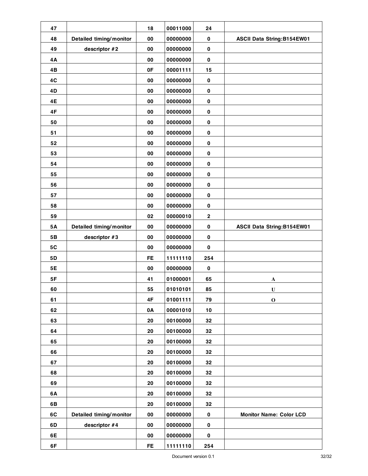| 47        |                         | 18        | 00011000 | 24        |                                   |
|-----------|-------------------------|-----------|----------|-----------|-----------------------------------|
| 48        | Detailed timing/monitor | 00        | 00000000 | $\pmb{0}$ | <b>ASCII Data String:B154EW01</b> |
| 49        | descriptor #2           | 00        | 00000000 | $\pmb{0}$ |                                   |
| 4A        |                         | 00        | 00000000 | $\pmb{0}$ |                                   |
| 4B        |                         | 0F        | 00001111 | 15        |                                   |
| 4C        |                         | 00        | 00000000 | $\pmb{0}$ |                                   |
| 4D        |                         | 00        | 00000000 | $\pmb{0}$ |                                   |
| 4E        |                         | 00        | 00000000 | $\pmb{0}$ |                                   |
| 4F        |                         | 00        | 00000000 | $\pmb{0}$ |                                   |
| 50        |                         | 00        | 00000000 | $\pmb{0}$ |                                   |
| 51        |                         | 00        | 00000000 | $\pmb{0}$ |                                   |
| 52        |                         | 00        | 00000000 | $\pmb{0}$ |                                   |
| 53        |                         | 00        | 00000000 | $\pmb{0}$ |                                   |
| 54        |                         | 00        | 00000000 | $\pmb{0}$ |                                   |
| 55        |                         | 00        | 00000000 | $\pmb{0}$ |                                   |
| 56        |                         | 00        | 00000000 | $\pmb{0}$ |                                   |
| 57        |                         | 00        | 00000000 | $\pmb{0}$ |                                   |
| 58        |                         | 00        | 00000000 | $\bf{0}$  |                                   |
| 59        |                         | 02        | 00000010 | $\bf{2}$  |                                   |
| <b>5A</b> | Detailed timing/monitor | 00        | 00000000 | $\pmb{0}$ | <b>ASCII Data String:B154EW01</b> |
| 5B        | descriptor #3           | 00        | 00000000 | $\pmb{0}$ |                                   |
| 5C        |                         | 00        | 00000000 | $\pmb{0}$ |                                   |
| 5D        |                         | <b>FE</b> | 11111110 | 254       |                                   |
| 5E        |                         | 00        | 00000000 | $\pmb{0}$ |                                   |
| 5F        |                         | 41        | 01000001 | 65        | A                                 |
| 60        |                         | 55        | 01010101 | 85        | U                                 |
| 61        |                         | 4F        | 01001111 | 79        | $\mathbf 0$                       |
| 62        |                         | 0A        | 00001010 | $10$      |                                   |
| 63        |                         | 20        | 00100000 | 32        |                                   |
| 64        |                         | 20        | 00100000 | 32        |                                   |
| 65        |                         | 20        | 00100000 | 32        |                                   |
| 66        |                         | 20        | 00100000 | 32        |                                   |
| 67        |                         | 20        | 00100000 | 32        |                                   |
| 68        |                         | 20        | 00100000 | 32        |                                   |
| 69        |                         | 20        | 00100000 | 32        |                                   |
| 6A        |                         | 20        | 00100000 | 32        |                                   |
| 6B        |                         | 20        | 00100000 | 32        |                                   |
| 6C        | Detailed timing/monitor | 00        | 00000000 | $\pmb{0}$ | <b>Monitor Name: Color LCD</b>    |
| 6D        | descriptor #4           | 00        | 00000000 | $\pmb{0}$ |                                   |
| 6E        |                         | 00        | 00000000 | $\pmb{0}$ |                                   |
| 6F        |                         | FE.       | 11111110 | 254       |                                   |